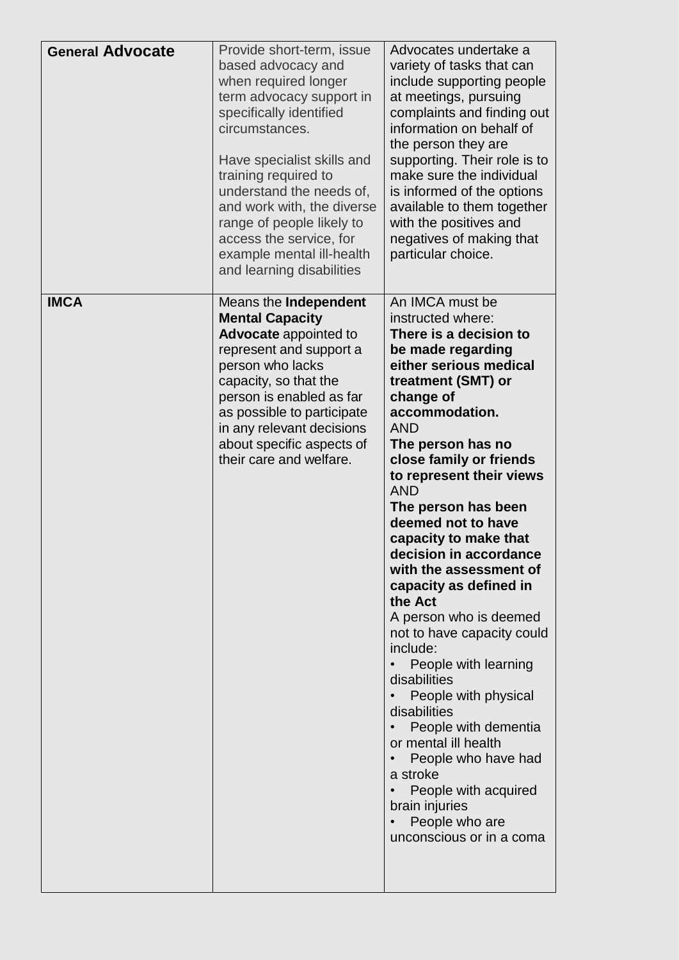| <b>General Advocate</b> | Provide short-term, issue<br>based advocacy and<br>when required longer<br>term advocacy support in<br>specifically identified<br>circumstances.<br>Have specialist skills and<br>training required to<br>understand the needs of,<br>and work with, the diverse<br>range of people likely to<br>access the service, for<br>example mental ill-health<br>and learning disabilities | Advocates undertake a<br>variety of tasks that can<br>include supporting people<br>at meetings, pursuing<br>complaints and finding out<br>information on behalf of<br>the person they are<br>supporting. Their role is to<br>make sure the individual<br>is informed of the options<br>available to them together<br>with the positives and<br>negatives of making that<br>particular choice.                                                                                                                                                                                                                                                                                                                                                                            |
|-------------------------|------------------------------------------------------------------------------------------------------------------------------------------------------------------------------------------------------------------------------------------------------------------------------------------------------------------------------------------------------------------------------------|--------------------------------------------------------------------------------------------------------------------------------------------------------------------------------------------------------------------------------------------------------------------------------------------------------------------------------------------------------------------------------------------------------------------------------------------------------------------------------------------------------------------------------------------------------------------------------------------------------------------------------------------------------------------------------------------------------------------------------------------------------------------------|
| <b>IMCA</b>             | Means the Independent<br><b>Mental Capacity</b><br>Advocate appointed to<br>represent and support a<br>person who lacks<br>capacity, so that the<br>person is enabled as far<br>as possible to participate<br>in any relevant decisions<br>about specific aspects of<br>their care and welfare.                                                                                    | An IMCA must be<br>instructed where:<br>There is a decision to<br>be made regarding<br>either serious medical<br>treatment (SMT) or<br>change of<br>accommodation.<br><b>AND</b><br>The person has no<br>close family or friends<br>to represent their views<br><b>AND</b><br>The person has been<br>deemed not to have<br>capacity to make that<br>decision in accordance<br>with the assessment of<br>capacity as defined in<br>the Act<br>A person who is deemed<br>not to have capacity could<br>include:<br>People with learning<br>disabilities<br>People with physical<br>disabilities<br>People with dementia<br>or mental ill health<br>People who have had<br>a stroke<br>People with acquired<br>brain injuries<br>People who are<br>unconscious or in a coma |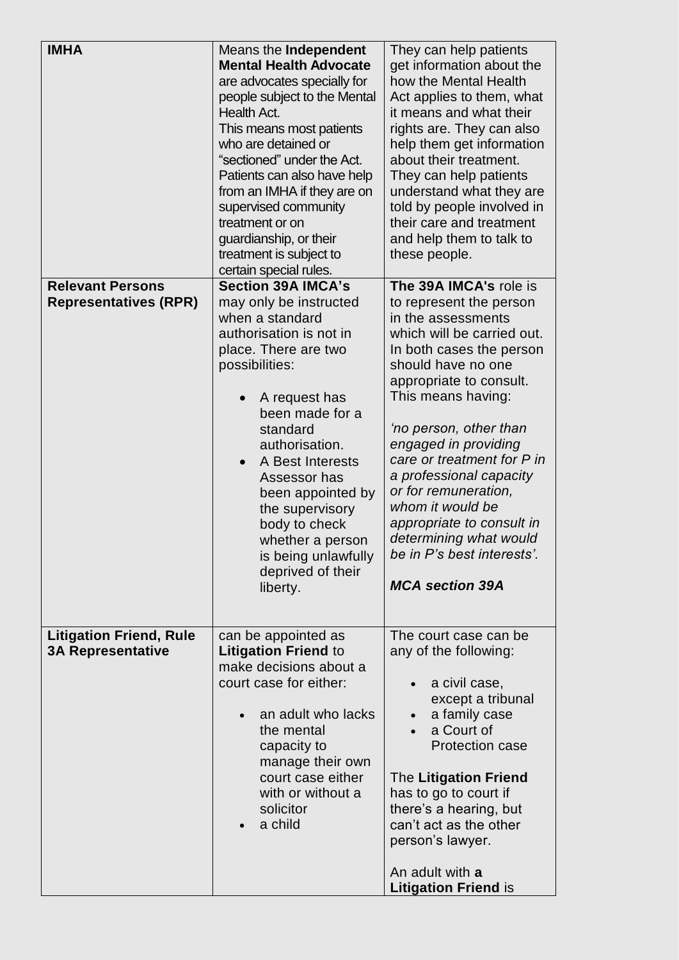| <b>IMHA</b>                                                | Means the Independent<br><b>Mental Health Advocate</b><br>are advocates specially for<br>people subject to the Mental<br>Health Act.<br>This means most patients<br>who are detained or<br>"sectioned" under the Act.<br>Patients can also have help<br>from an IMHA if they are on<br>supervised community<br>treatment or on<br>guardianship, or their<br>treatment is subject to<br>certain special rules. | They can help patients<br>get information about the<br>how the Mental Health<br>Act applies to them, what<br>it means and what their<br>rights are. They can also<br>help them get information<br>about their treatment.<br>They can help patients<br>understand what they are<br>told by people involved in<br>their care and treatment<br>and help them to talk to<br>these people.                                                                                          |
|------------------------------------------------------------|---------------------------------------------------------------------------------------------------------------------------------------------------------------------------------------------------------------------------------------------------------------------------------------------------------------------------------------------------------------------------------------------------------------|--------------------------------------------------------------------------------------------------------------------------------------------------------------------------------------------------------------------------------------------------------------------------------------------------------------------------------------------------------------------------------------------------------------------------------------------------------------------------------|
| <b>Relevant Persons</b><br><b>Representatives (RPR)</b>    | <b>Section 39A IMCA's</b><br>may only be instructed<br>when a standard<br>authorisation is not in<br>place. There are two<br>possibilities:<br>A request has<br>been made for a<br>standard<br>authorisation.<br>A Best Interests<br>$\bullet$<br>Assessor has<br>been appointed by<br>the supervisory<br>body to check<br>whether a person<br>is being unlawfully<br>deprived of their<br>liberty.           | The 39A IMCA's role is<br>to represent the person<br>in the assessments<br>which will be carried out.<br>In both cases the person<br>should have no one<br>appropriate to consult.<br>This means having:<br>'no person, other than<br>engaged in providing<br>care or treatment for P in<br>a professional capacity<br>or for remuneration,<br>whom it would be<br>appropriate to consult in<br>determining what would<br>be in P's best interests'.<br><b>MCA section 39A</b> |
| <b>Litigation Friend, Rule</b><br><b>3A Representative</b> | can be appointed as<br><b>Litigation Friend to</b><br>make decisions about a<br>court case for either:<br>an adult who lacks<br>the mental<br>capacity to<br>manage their own<br>court case either<br>with or without a<br>solicitor<br>a child                                                                                                                                                               | The court case can be<br>any of the following:<br>a civil case,<br>except a tribunal<br>a family case<br>a Court of<br><b>Protection case</b><br><b>The Litigation Friend</b><br>has to go to court if<br>there's a hearing, but<br>can't act as the other<br>person's lawyer.<br>An adult with a<br><b>Litigation Friend is</b>                                                                                                                                               |